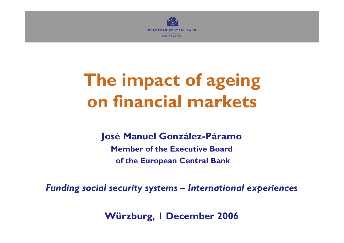

# **The impact of ageing on financial markets**

#### **José Manuel González-Páramo**

**Member of the Executive Boardof the European Central Bank**

*Funding social security systems – International experiences*

**Würzburg, 1 December 2006**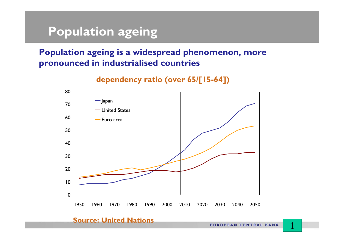# **Population ageing**

#### **Population ageing is a widespread phenomenon, more pronounced in industrialised countries**

#### **dependency ratio (over 65/[15-64])**



#### **Source: United Nations**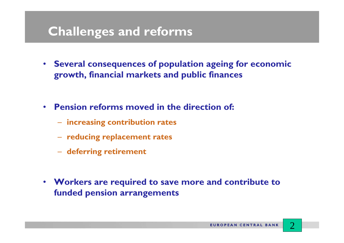#### **Challenges and reforms**

- **Several consequences of population ageing for economic growth, financial markets and public finances**
- • **Pension reforms moved in the direction of:**
	- **increasing contribution rates**
	- **reducing replacement rates**
	- **deferring retirement**
- **Workers are required to save more and contribute to funded pension arrangements**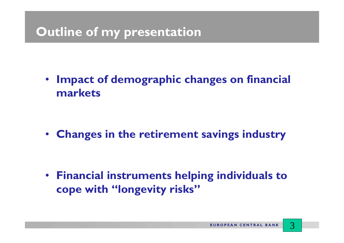# **Outline of my presentation**

• **Impact of demographic changes on financial markets**

• **Changes in the retirement savings industry**

• **Financial instruments helping individuals to cope with "longevity risks"**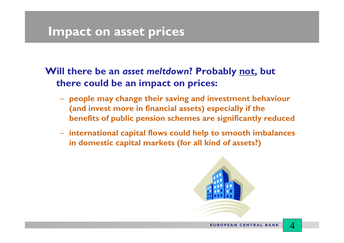#### **Impact on asset prices**

#### **Will there be an** *asset meltdown***? Probably not, but there could be an impact on prices:**

- **people may change their saving and investment behaviour (and invest more in financial assets) especially if the benefits of public pension schemes are significantly reduced**
- **international capital flows could help to smooth imbalances in domestic capital markets (for all kind of assets?)**

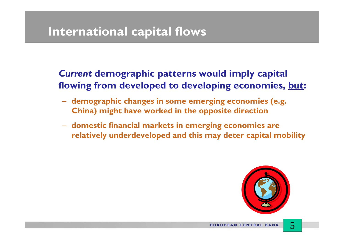#### **International capital flows**

#### *Current* **demographic patterns would imply capital flowing from developed to developing economies, but:**

- **demographic changes in some emerging economies (e.g. China) might have worked in the opposite direction**
- **domestic financial markets in emerging economies are relatively underdeveloped and this may deter capital mobility**

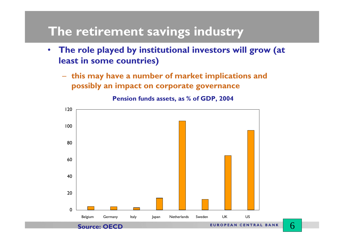#### **The retirement savings industry**

- • **The role played by institutional investors will grow (at least in some countries)** 
	- **this may have a number of market implications and possibly an impact on corporate governance**



6

**Pension funds assets, as % of GDP, 2004**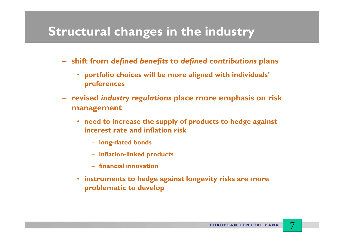#### **Structural changes in the industry**

- **shift from** *defined benefits* **to** *defined contributions* **plans**
	- **portfolio choices will be more aligned with individuals' preferences**
- **revised** *industry regulations* **place more emphasis on risk management** 
	- **need to increase the supply of products to hedge against interest rate and inflation risk** 
		- **long-dated bonds**
		- **inflation-linked products**
		- **financial innovation**
	- **instruments to hedge against longevity risks are more problematic to develop**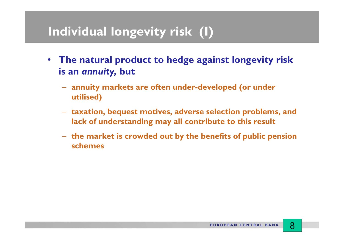### **Individual longevity risk (I)**

- • **The natural product to hedge against longevity risk is an** *annuity,* **but**
	- **annuity markets are often under-developed (or under utilised)**
	- **taxation, bequest motives, adverse selection problems, and lack of understanding may all contribute to this result**
	- **the market is crowded out by the benefits of public pension schemes**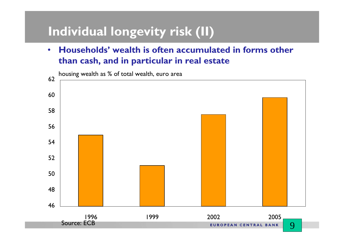# **Individual longevity risk (II)**

• **Households' wealth is often accumulated in forms other than cash, and in particular in real estate**



housing wealth as % of total wealth, euro area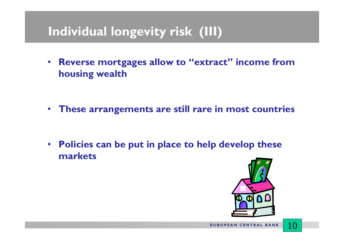# **Individual longevity risk (III)**

• **Reverse mortgages allow to "extract" income from housing wealth**

- **These arrangements are still rare in most countries**
- $\bullet$  **Policies can be put in place to help develop these markets**

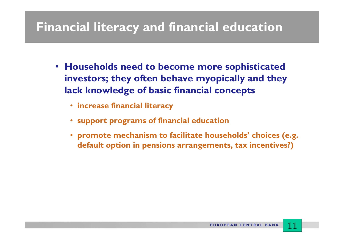# **Financial literacy and financial education**

- **Households need to become more sophisticated investors; they often behave myopically and they lack knowledge of basic financial concepts**
	- **increase financial literacy**
	- **support programs of financial education**
	- **promote mechanism to facilitate households' choices (e.g. default option in pensions arrangements, tax incentives?)**